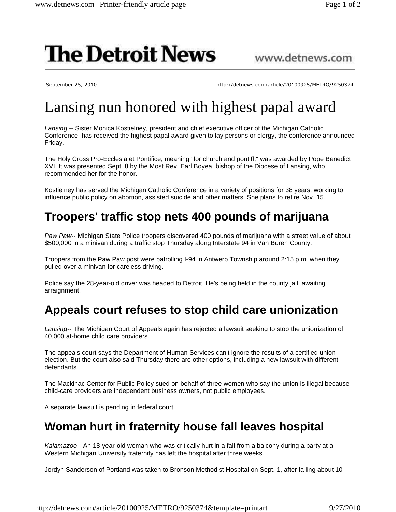# **The Detroit News**

#### www.detnews.com

September 25, 2010 http://detnews.com/article/20100925/METRO/9250374

# Lansing nun honored with highest papal award

Lansing -- Sister Monica Kostielney, president and chief executive officer of the Michigan Catholic Conference, has received the highest papal award given to lay persons or clergy, the conference announced Friday.

The Holy Cross Pro-Ecclesia et Pontifice, meaning "for church and pontiff," was awarded by Pope Benedict XVI. It was presented Sept. 8 by the Most Rev. Earl Boyea, bishop of the Diocese of Lansing, who recommended her for the honor.

Kostielney has served the Michigan Catholic Conference in a variety of positions for 38 years, working to influence public policy on abortion, assisted suicide and other matters. She plans to retire Nov. 15.

## **Troopers' traffic stop nets 400 pounds of marijuana**

Paw Paw-- Michigan State Police troopers discovered 400 pounds of marijuana with a street value of about \$500,000 in a minivan during a traffic stop Thursday along Interstate 94 in Van Buren County.

Troopers from the Paw Paw post were patrolling I-94 in Antwerp Township around 2:15 p.m. when they pulled over a minivan for careless driving.

Police say the 28-year-old driver was headed to Detroit. He's being held in the county jail, awaiting arraignment.

## **Appeals court refuses to stop child care unionization**

Lansing-- The Michigan Court of Appeals again has rejected a lawsuit seeking to stop the unionization of 40,000 at-home child care providers.

The appeals court says the Department of Human Services can't ignore the results of a certified union election. But the court also said Thursday there are other options, including a new lawsuit with different defendants.

The Mackinac Center for Public Policy sued on behalf of three women who say the union is illegal because child-care providers are independent business owners, not public employees.

A separate lawsuit is pending in federal court.

#### **Woman hurt in fraternity house fall leaves hospital**

Kalamazoo-- An 18-year-old woman who was critically hurt in a fall from a balcony during a party at a Western Michigan University fraternity has left the hospital after three weeks.

Jordyn Sanderson of Portland was taken to Bronson Methodist Hospital on Sept. 1, after falling about 10